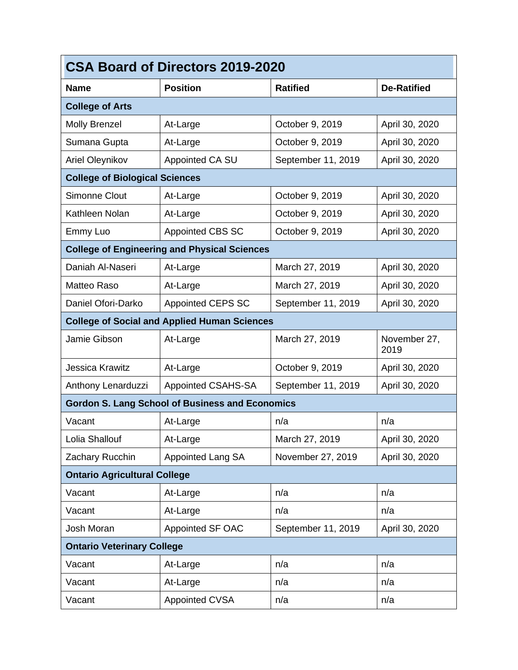| <b>CSA Board of Directors 2019-2020</b>                |                                                     |                    |                      |  |  |  |
|--------------------------------------------------------|-----------------------------------------------------|--------------------|----------------------|--|--|--|
| <b>Name</b>                                            | <b>Position</b>                                     | <b>Ratified</b>    | <b>De-Ratified</b>   |  |  |  |
| <b>College of Arts</b>                                 |                                                     |                    |                      |  |  |  |
| <b>Molly Brenzel</b>                                   | At-Large                                            | October 9, 2019    | April 30, 2020       |  |  |  |
| Sumana Gupta                                           | At-Large                                            | October 9, 2019    | April 30, 2020       |  |  |  |
| Ariel Oleynikov                                        | Appointed CA SU                                     | September 11, 2019 | April 30, 2020       |  |  |  |
| <b>College of Biological Sciences</b>                  |                                                     |                    |                      |  |  |  |
| Simonne Clout                                          | At-Large                                            | October 9, 2019    | April 30, 2020       |  |  |  |
| Kathleen Nolan                                         | At-Large                                            | October 9, 2019    | April 30, 2020       |  |  |  |
| Emmy Luo                                               | <b>Appointed CBS SC</b>                             | October 9, 2019    | April 30, 2020       |  |  |  |
| <b>College of Engineering and Physical Sciences</b>    |                                                     |                    |                      |  |  |  |
| Daniah Al-Naseri                                       | At-Large                                            | March 27, 2019     | April 30, 2020       |  |  |  |
| Matteo Raso                                            | At-Large                                            | March 27, 2019     | April 30, 2020       |  |  |  |
| Daniel Ofori-Darko                                     | <b>Appointed CEPS SC</b>                            | September 11, 2019 | April 30, 2020       |  |  |  |
|                                                        | <b>College of Social and Applied Human Sciences</b> |                    |                      |  |  |  |
| Jamie Gibson                                           | At-Large                                            | March 27, 2019     | November 27,<br>2019 |  |  |  |
| Jessica Krawitz                                        | At-Large                                            | October 9, 2019    | April 30, 2020       |  |  |  |
| Anthony Lenarduzzi                                     | Appointed CSAHS-SA                                  | September 11, 2019 | April 30, 2020       |  |  |  |
| <b>Gordon S. Lang School of Business and Economics</b> |                                                     |                    |                      |  |  |  |
| Vacant                                                 | At-Large                                            | n/a                | n/a                  |  |  |  |
| Lolia Shallouf                                         | At-Large                                            | March 27, 2019     | April 30, 2020       |  |  |  |
| Zachary Rucchin                                        | <b>Appointed Lang SA</b>                            | November 27, 2019  | April 30, 2020       |  |  |  |
| <b>Ontario Agricultural College</b>                    |                                                     |                    |                      |  |  |  |
| Vacant                                                 | At-Large                                            | n/a                | n/a                  |  |  |  |
| Vacant                                                 | At-Large                                            | n/a                | n/a                  |  |  |  |
| Josh Moran                                             | <b>Appointed SF OAC</b>                             | September 11, 2019 | April 30, 2020       |  |  |  |
| <b>Ontario Veterinary College</b>                      |                                                     |                    |                      |  |  |  |
| Vacant                                                 | At-Large                                            | n/a                | n/a                  |  |  |  |
| Vacant                                                 | At-Large                                            | n/a                | n/a                  |  |  |  |
| Vacant                                                 | <b>Appointed CVSA</b>                               | n/a                | n/a                  |  |  |  |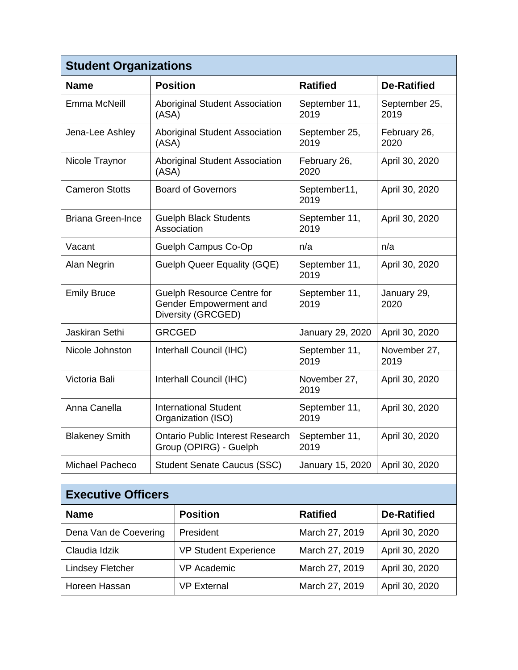| <b>Student Organizations</b>        |                                                                                   |                                    |                       |                       |  |  |
|-------------------------------------|-----------------------------------------------------------------------------------|------------------------------------|-----------------------|-----------------------|--|--|
| <b>Name</b>                         | <b>Position</b>                                                                   |                                    | <b>Ratified</b>       | <b>De-Ratified</b>    |  |  |
| Emma McNeill                        | <b>Aboriginal Student Association</b><br>(ASA)                                    |                                    | September 11,<br>2019 | September 25,<br>2019 |  |  |
| Jena-Lee Ashley                     | <b>Aboriginal Student Association</b><br>(ASA)                                    |                                    | September 25,<br>2019 | February 26,<br>2020  |  |  |
| Nicole Traynor                      | <b>Aboriginal Student Association</b><br>(ASA)                                    |                                    | February 26,<br>2020  | April 30, 2020        |  |  |
| <b>Cameron Stotts</b>               | <b>Board of Governors</b>                                                         |                                    | September11,<br>2019  | April 30, 2020        |  |  |
| <b>Briana Green-Ince</b>            | <b>Guelph Black Students</b><br>Association                                       |                                    | September 11,<br>2019 | April 30, 2020        |  |  |
| Vacant                              | Guelph Campus Co-Op                                                               |                                    | n/a                   | n/a                   |  |  |
| Alan Negrin                         | <b>Guelph Queer Equality (GQE)</b>                                                |                                    | September 11,<br>2019 | April 30, 2020        |  |  |
| <b>Emily Bruce</b>                  | <b>Guelph Resource Centre for</b><br>Gender Empowerment and<br>Diversity (GRCGED) |                                    | September 11,<br>2019 | January 29,<br>2020   |  |  |
| Jaskiran Sethi                      | <b>GRCGED</b>                                                                     |                                    | January 29, 2020      | April 30, 2020        |  |  |
| Nicole Johnston                     | Interhall Council (IHC)                                                           |                                    | September 11,<br>2019 | November 27,<br>2019  |  |  |
| Victoria Bali                       | Interhall Council (IHC)                                                           |                                    | November 27,<br>2019  | April 30, 2020        |  |  |
| Anna Canella                        | <b>International Student</b><br>Organization (ISO)                                |                                    | September 11,<br>2019 | April 30, 2020        |  |  |
| <b>Blakeney Smith</b>               | <b>Ontario Public Interest Research</b><br>Group (OPIRG) - Guelph                 |                                    | September 11,<br>2019 | April 30, 2020        |  |  |
| Michael Pacheco                     |                                                                                   | <b>Student Senate Caucus (SSC)</b> | January 15, 2020      | April 30, 2020        |  |  |
|                                     |                                                                                   |                                    |                       |                       |  |  |
| <b>Executive Officers</b>           |                                                                                   |                                    |                       |                       |  |  |
| <b>Name</b>                         |                                                                                   | <b>Position</b>                    | <b>Ratified</b>       | <b>De-Ratified</b>    |  |  |
| Dena Van de Coevering               |                                                                                   | President                          | March 27, 2019        | April 30, 2020        |  |  |
| Claudia Idzik                       |                                                                                   | <b>VP Student Experience</b>       | March 27, 2019        | April 30, 2020        |  |  |
| <b>Lindsey Fletcher</b>             |                                                                                   | <b>VP Academic</b>                 | March 27, 2019        | April 30, 2020        |  |  |
| Horeen Hassan<br><b>VP External</b> |                                                                                   | March 27, 2019                     | April 30, 2020        |                       |  |  |